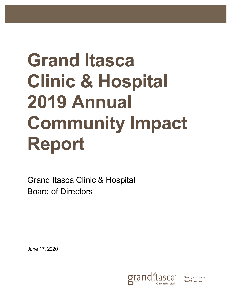# **Grand Itasca Clinic & Hospital 2019 Annual Community Impact Report**

Grand Itasca Clinic & Hospital Board of Directors

June 17, 2020



Part of Fairview **Health Services**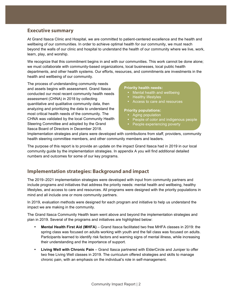## **Executive summary**

At Grand Itasca Clinic and Hospital, we are committed to patient-centered excellence and the health and wellbeing of our communities. In order to achieve optimal health for our community, we must reach beyond the walls of our clinic and hospital to understand the health of our community where we live, work, learn, play, and worship.

We recognize that this commitment begins in and with our communities. This work cannot be done alone; we must collaborate with community-based organizations, local businesses, local public health departments, and other health systems. Our efforts, resources, and commitments are investments in the health and wellbeing of our community.

The process of understanding community needs and assets begins with assessment. Grand Itasca conducted our most recent community health needs assessment (CHNA) in 2018 by collecting quantitative and qualitative community data, then analyzing and prioritizing the data to understand the most critical health needs of the community. The CHNA was validated by the local Community Health Steering Committee and adopted by the Grand Itasca Board of Directors in December 2018.

#### **Priority health needs:**

- Mental health and wellbeing
- Healthy lifestyles
- Access to care and resources

#### **Priority populations:**

- Aging population
- People of color and indigenous people
- People experiencing poverty

Implementation strategies and plans were developed with contributions from staff, providers, community health steering committee members, and other community members and leaders.

The purpose of this report is to provide an update on the impact Grand Itasca had in 2019 in our local community guide by the implementation strategies. In appendix A you will find additional detailed numbers and outcomes for some of our key programs.

# **Implementation strategies: Background and impact**

The 2019–2021 implementation strategies were developed with input from community partners and include programs and initiatives that address the priority needs: mental health and wellbeing, healthy lifestyles, and access to care and resources. All programs were designed with the priority populations in mind and all include one or more community partners.

In 2019, evaluation methods were designed for each program and initiative to help us understand the impact we are making in the community.

The Grand Itasca Community Health team went above and beyond the implementation strategies and plan in 2019. Several of the programs and initiatives are highlighted below:

- **Mental Health First Aid (MHFA)** Grand Itasca facilitated two free MHFA classes in 2019: the spring class was focused on adults working with youth and the fall class was focused on adults. Participants learned to identify risk factors and warning signs of mental illness, while increasing their understanding and the importance of support.
- **Living Well with Chronic Pain** Grand Itasca partnered with ElderCircle and Juniper to offer two free Living Well classes in 2019. The curriculum offered strategies and skills to manage chronic pain, with an emphasis on the individual's role in self-management.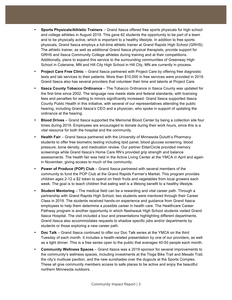- **Sports Physicals/Athletic Trainers** Grand Itasca offered free sports physicals for high school and college athletes in August 2019. This gave 62 students the opportunity to be part of a team and to be physically active, which is important to a healthy lifestyle. In addition to free sports physicals, Grand Itasca employs a full-time athletic trainer at Grand Rapids High School (GRHS). The athletic trainer, as well as additional Grand Itasca physical therapists, provide support for GRHS and Itasca Community College athletes during training and at their competitions. Additionally, plans to expand this service to the surrounding communities of Greenway High School in Coleraine, MN and Hill City High School in Hill City, MN are currently in process.
- **Project Care Free Clinic**  Grand Itasca partnered with Project Care by offering free diagnostic tests and lab services to their patients. More than \$10,000 in free services were provided in 2019. Grand Itasca also has several providers that volunteer their time and talents at Project Care.
- **Itasca County Tobacco Ordinance**  The Tobacco Ordinance in Itasca County was updated for the first time since 2002. The language now meets state and federal standards, with licensing fees and penalties for selling to minors significantly increased. Grand Itasca supported Itasca County Public Health in this initiative, with several of our representatives attending the public hearing, including Grand Itasca's CEO and a physician, who spoke in support of updating the ordinance at the hearing.
- **Blood Drives** Grand Itasca supported the Memorial Blood Center by being a collection site four times during 2019. Employees are encouraged to donate during their work hours, since this is a vital resource for both the hospital and the community.
- **Health Fair**  Grand Itasca partnered with the University of Minnesota Duluth's Pharmacy students to offer free biometric testing including lipid panel, blood glucose screening, blood pressure, bone density, and medication review. Our partner ElderCircle provided memory screenings while Grand Itasca's Home Care RN's provided grip strength and balance assessments. The health fair was held in the Active Living Center at the YMCA in April and again in November, giving access to much of the community.
- **Power of Produce (POP) Club**  Grand Itasca partnered with several members of the community to fund the POP Club at the Grand Rapids Farmer's Market. This program provides children ages 2-12 a \$2 token to spend on fresh fruits and vegetables from local growers each week. The goal is to teach children that eating well is a lifelong benefit to a healthy lifestyle.
- **Student Mentoring**  The medical field can be a rewarding and vital career path. Through a partnership with Grand Rapids High School, two students were mentored through their Career Class in 2019. The students received hands-on experience and guidance from Grand Itasca employees to help them determine a possible career in health care. The Healthcare Career Pathway program is another opportunity in which Nashwauk High School students visited Grand Itasca Hospital. The visit included a tour and presentations highlighting different departments. Grand Itasca also accommodates requests to shadow specific jobs and/or departments by students or those exploring a new career path.
- **Doc Talk** Grand Itasca continued to offer our Doc Talk series at the YMCA on the third Tuesday of each month. It includes a health-related presentation by one of our providers, as well as a light dinner. This is a free series open to the public that averages 40-50 people each month.
- **Community Wellness Spaces**  Grand Itasca was a 2019 sponsor for several improvements to the community's wellness spaces, including investments at the Tioga Bike Trail and Mesabi Trail, the city's multiuse pavilion, and the new sunshades over the dugouts at the Sports Complex. These all give community members access to safe places to be active and enjoy the beautiful northern Minnesota outdoors.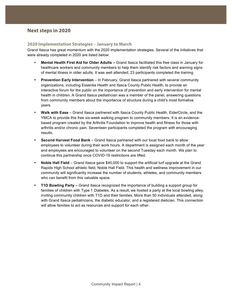## **Next steps in 2020**

#### **2020 Implementation Strategies – January to March**

Grand Itasca has great momentum with the 2020 implementation strategies. Several of the initiatives that were already completed in 2020 are listed below:

- **Mental Health First Aid for Older Adults –** Grand Itasca facilitated this free class in January for healthcare workers and community members to help them identify risk factors and warning signs of mental illness in older adults. It was well attended; 23 participants completed the training.
- **Prevention Early Intervention**  In February, Grand Itasca partnered with several community organizations, including Essentia Health and Itasca County Public Health, to provide an interactive forum for the public on the importance of prevention and early intervention for mental health in children. A Grand Itasca pediatrician was a member of the panel, answering questions from community members about the importance of structure during a child's most formative years.
- **Walk with Ease** Grand Itasca partnered with Itasca County Public Health, ElderCircle, and the YMCA to provide this free six-week walking program to community members. It is an evidencebased program created by the Arthritis Foundation to improve health and fitness for those with arthritis and/or chronic pain. Seventeen participants completed the program with encouraging results.
- **Second Harvest Food Bank** Grand Itasca partnered with our local food bank to allow employees to volunteer during their work hours. A department is assigned each month of the year and employees are encouraged to volunteer on the second Tuesday each month. We plan to continue this partnership once COVID-19 restrictions are lifted.
- **Noble Hall Field** Grand Itasca gave \$40,000 to support the artificial turf upgrade at the Grand Rapids High School athletic field, Noble Hall Field. This health and wellness improvement in our community will significantly increase the number of students, athletes, and community members who can benefit from this valuable space.
- **T1D Bowling Party –** Grand Itasca recognized the importance of building a support group for families of children with Type 1 Diabetes. As a result, we hosted a party at the local bowling alley, inviting community children with T1D and their families. More than 50 individuals attended, along with Grand Itasca pediatricians, the diabetic educator, and a registered dietician. This connection will allow families to act as resources and support for each other.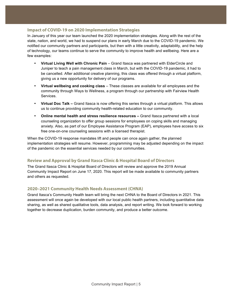### **Impact of COVID-19 on 2020 Implementation Strategies**

In January of this year our team launched the 2020 implementation strategies. Along with the rest of the state, nation, and world, we had to suspend our plans in early March due to the COVID-19 pandemic. We notified our community partners and participants, but then with a little creativity, adaptability, and the help of technology, our teams continue to serve the community to improve health and wellbeing. Here are a few examples:

- **Virtual Living Well with Chronic Pain**  Grand Itasca was partnered with ElderCircle and Juniper to teach a pain management class in March, but with the COVID-19 pandemic, it had to be cancelled. After additional creative planning, this class was offered through a virtual platform, giving us a new opportunity for delivery of our programs.
- **Virtual wellbeing and cooking class** These classes are available for all employees and the community through Ways to Wellness, a program through our partnership with Fairview Health Services.
- **Virtual Doc Talk –** Grand Itasca is now offering this series through a virtual platform. This allows us to continue providing community health-related education to our community.
- **Online mental health and stress resilience resources –** Grand Itasca partnered with a local counseling organization to offer group sessions for employees on coping skills and managing anxiety. Also, as part of our Employee Assistance Program (EAP), employees have access to six free one-on-one counseling sessions with a licensed therapist.

When the COVID-19 response mandates lift and people can once again gather, the planned implementation strategies will resume. However, programming may be adjusted depending on the impact of the pandemic on the essential services needed by our communities.

## **Review and Approval by Grand Itasca Clinic & Hospital Board of Directors**

The Grand Itasca Clinic & Hospital Board of Directors will review and approve the 2019 Annual Community Impact Report on June 17, 2020. This report will be made available to community partners and others as requested.

## **2020–2021 Community Health Needs Assessment (CHNA)**

Grand Itasca's Community Health team will bring the next CHNA to the Board of Directors in 2021. This assessment will once again be developed with our local public health partners, including quantitative data sharing, as well as shared qualitative tools, data analysis, and report writing. We look forward to working together to decrease duplication, burden community, and produce a better outcome.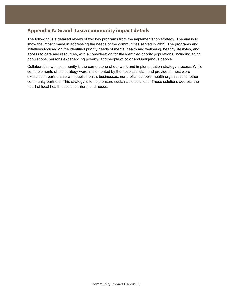# **Appendix A: Grand Itasca community impact details**

The following is a detailed review of two key programs from the implementation strategy. The aim is to show the impact made in addressing the needs of the communities served in 2019. The programs and initiatives focused on the identified priority needs of mental health and wellbeing, healthy lifestyles, and access to care and resources, with a consideration for the identified priority populations, including aging populations, persons experiencing poverty, and people of color and indigenous people.

Collaboration with community is the cornerstone of our work and implementation strategy process. While some elements of the strategy were implemented by the hospitals' staff and providers, most were executed in partnership with public health, businesses, nonprofits, schools, health organizations, other community partners. This strategy is to help ensure sustainable solutions. These solutions address the heart of local health assets, barriers, and needs.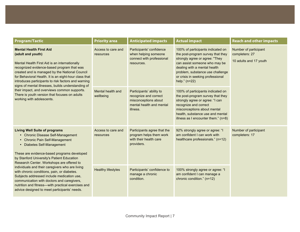| <b>Program/Tactic</b>                                                                                                                                                                                                                                                                                                                                                                                                                                                                                                                                                                               | <b>Priority area</b>            | <b>Anticipated impacts</b>                                                                                        | <b>Actual impact</b>                                                                                                                                                                                                                                                | <b>Reach and other impacts</b>                                    |
|-----------------------------------------------------------------------------------------------------------------------------------------------------------------------------------------------------------------------------------------------------------------------------------------------------------------------------------------------------------------------------------------------------------------------------------------------------------------------------------------------------------------------------------------------------------------------------------------------------|---------------------------------|-------------------------------------------------------------------------------------------------------------------|---------------------------------------------------------------------------------------------------------------------------------------------------------------------------------------------------------------------------------------------------------------------|-------------------------------------------------------------------|
| <b>Mental Health First Aid</b><br>(adult and youth)<br>Mental Health First Aid is an internationally<br>recognized evidence-based program that was<br>created and is managed by the National Council<br>for Behavioral Health. It is an eight-hour class that<br>introduces participants to risk factors and warning<br>signs of mental illnesses, builds understanding of<br>their impact, and overviews common supports.<br>There is youth version that focuses on adults<br>working with adolescents.                                                                                            | Access to care and<br>resources | Participants' confidence<br>when helping someone<br>connect with professional<br>resources.                       | 100% of participants indicated on<br>the post-program survey that they<br>strongly agree or agree: "They<br>can assist someone who may be<br>dealing with a mental health<br>problem, substance use challenge<br>or crisis in seeking professional<br>help." (n=22) | Number of participant<br>completers: 27<br>10 adults and 17 youth |
|                                                                                                                                                                                                                                                                                                                                                                                                                                                                                                                                                                                                     | Mental health and<br>wellbeing  | Participants' ability to<br>recognize and correct<br>misconceptions about<br>mental health and mental<br>illness. | 100% of participants indicated on<br>the post-program survey that they<br>strongly agree or agree: "I can<br>recognize and correct<br>misconceptions about mental<br>health, substance use and mental<br>illness as I encounter them." (n=8)                        |                                                                   |
| <b>Living Well Suite of programs</b><br>• Chronic Disease Self-Management<br>• Chronic Pain Self-Management<br>Diabetes Self-Management<br>$\bullet$<br>These are evidence-based programs developed<br>by Stanford University's Patient Education<br>Research Center. Workshops are offered to<br>individuals and their caregivers who are living<br>with chronic conditions, pain, or diabetes.<br>Subjects addressed include medication use,<br>communication with doctors and caregivers,<br>nutrition and fitness--with practical exercises and<br>advice designed to meet participants' needs. | Access to care and<br>resources | Participants agree that the<br>program helps them work<br>with their health care<br>providers.                    | 92% strongly agree or agree: "I<br>am confident I can work with<br>healthcare professionals." (n=12)                                                                                                                                                                | Number of participant<br>completers: 17                           |
|                                                                                                                                                                                                                                                                                                                                                                                                                                                                                                                                                                                                     | <b>Healthy lifestyles</b>       | Participants' confidence to<br>manage a chronic<br>condition.                                                     | 100% strongly agree or agree: "I<br>am confident I can manage a<br>chronic condition." (n=12)                                                                                                                                                                       |                                                                   |